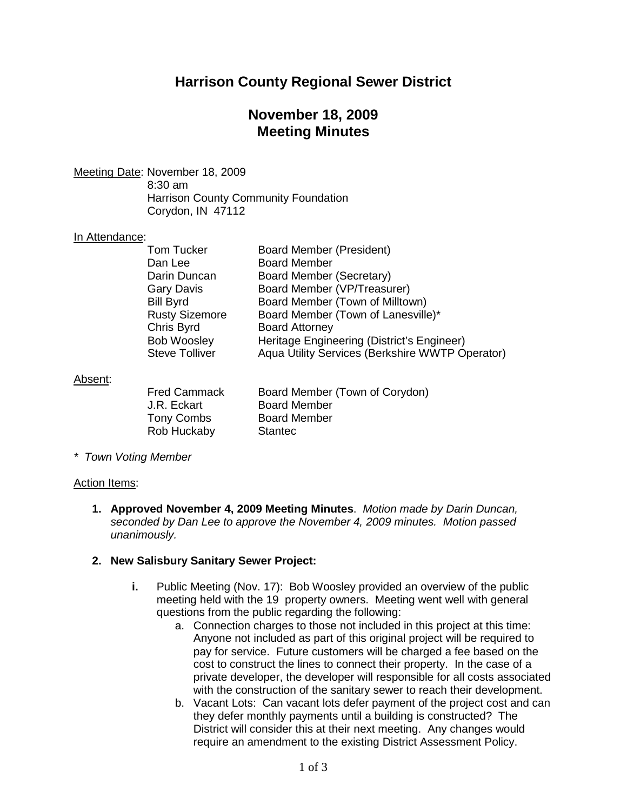## **Harrison County Regional Sewer District**

## **November 18, 2009 Meeting Minutes**

Meeting Date : November 18, 2009

8:30 am Harrison County Community Foundation Corydon, IN 47112

## In Attendance:

| <b>Board Member (President)</b>                 |
|-------------------------------------------------|
| <b>Board Member</b>                             |
| Board Member (Secretary)                        |
| Board Member (VP/Treasurer)                     |
| Board Member (Town of Milltown)                 |
| Board Member (Town of Lanesville)*              |
| <b>Board Attorney</b>                           |
| Heritage Engineering (District's Engineer)      |
| Aqua Utility Services (Berkshire WWTP Operator) |
|                                                 |

## Absent :

| <b>Fred Cammack</b> | Board Member (Town of Corydon) |
|---------------------|--------------------------------|
| J.R. Eckart         | <b>Board Member</b>            |
| Tony Combs          | <b>Board Member</b>            |
| Rob Huckaby         | <b>Stantec</b>                 |

*\* Town Voting Member*

### Action Items:

**1. Approved November 4, 2009 Meeting Minutes**. *Motion made by Darin Duncan, seconded by Dan Lee to approve the November 4, 2009 minutes. Motion passed unanimously.*

### **2. New Salisbury Sanitary Sewer Project:**

- **i.** Public Meeting (Nov. 17): Bob Woosley provided an overview of the public meeting held with the 19 property owners. Meeting went well with general questions from the public regarding the following:
	- a. Connection charges to those not included in this project at this time: Anyone not included as part of this original project will be required to pay for service. Future customers will be charged a fee based on the cost to construct the lines to connect their property. In the case of a private developer, the developer will responsible for all costs associated with the construction of the sanitary sewer to reach their development.
	- b. Vacant Lots: Can vacant lots defer payment of the project cost and can they defer monthly payments until a building is constructed? The District will consider this at their next meeting. Any changes would require an amendment to the existing District Assessment Policy.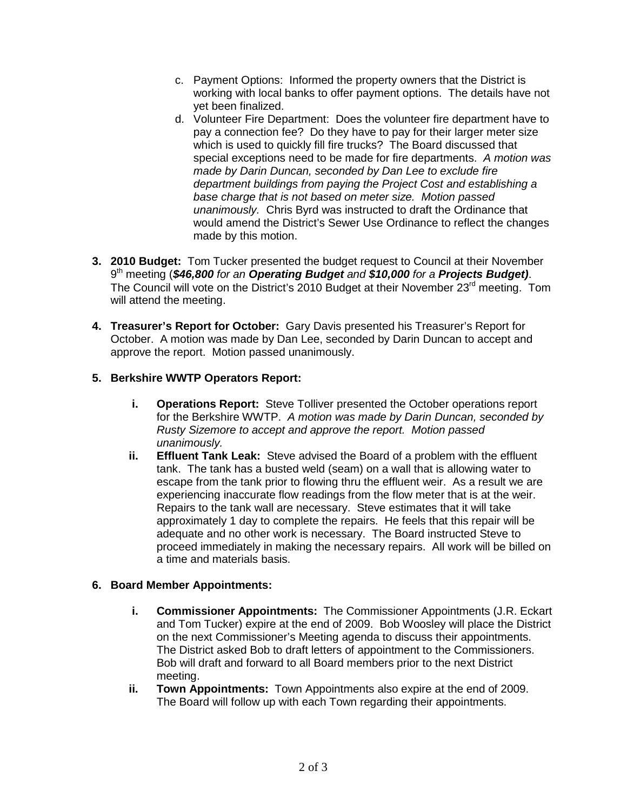- c. Payment Options: Informed the property owners that the District is working with local banks to offer payment options. The details have not yet been finalized.
- d. Volunteer Fire Department: Does the volunteer fire department have to pay a connection fee? Do they have to pay for their larger meter size which is used to quickly fill fire trucks? The Board discussed that special exceptions need to be made for fire departments. *A motion was made by Darin Duncan, seconded by Dan Lee to exclude fire department buildings from paying the Project Cost and establishing a base charge that is not based on meter size. Motion passed unanimously.* Chris Byrd was instructed to draft the Ordinance that would amend the District's Sewer Use Ordinance to reflect the changes made by this motion.
- **3. 2010 Budget:** Tom Tucker presented the budget request to Council at their November 9th meeting (*\$46,800 for an Operating Budget and \$10,000 for a Projects Budget)*. The Council will vote on the District's 2010 Budget at their November 23<sup>rd</sup> meeting. Tom will attend the meeting.
- **4. Treasurer's Report for October:** Gary Davis presented his Treasurer's Report for October. A motion was made by Dan Lee, seconded by Darin Duncan to accept and approve the report. Motion passed unanimously.

## **5. Berkshire WWTP Operators Report:**

- **i. Operations Report:** Steve Tolliver presented the October operations report for the Berkshire WWTP. *A motion was made by Darin Duncan, seconded by Rusty Sizemore to accept and approve the report. Motion passed unanimously.*
- **ii. Effluent Tank Leak:** Steve advised the Board of a problem with the effluent tank. The tank has a busted weld (seam) on a wall that is allowing water to escape from the tank prior to flowing thru the effluent weir. As a result we are experiencing inaccurate flow readings from the flow meter that is at the weir. Repairs to the tank wall are necessary. Steve estimates that it will take approximately 1 day to complete the repairs. He feels that this repair will be adequate and no other work is necessary. The Board instructed Steve to proceed immediately in making the necessary repairs. All work will be billed on a time and materials basis.

### **6. Board Member Appointments:**

- **i. Commissioner Appointments:** The Commissioner Appointments (J.R. Eckart and Tom Tucker) expire at the end of 2009. Bob Woosley will place the District on the next Commissioner's Meeting agenda to discuss their appointments. The District asked Bob to draft letters of appointment to the Commissioners. Bob will draft and forward to all Board members prior to the next District meeting.
- **ii. Town Appointments:** Town Appointments also expire at the end of 2009. The Board will follow up with each Town regarding their appointments.